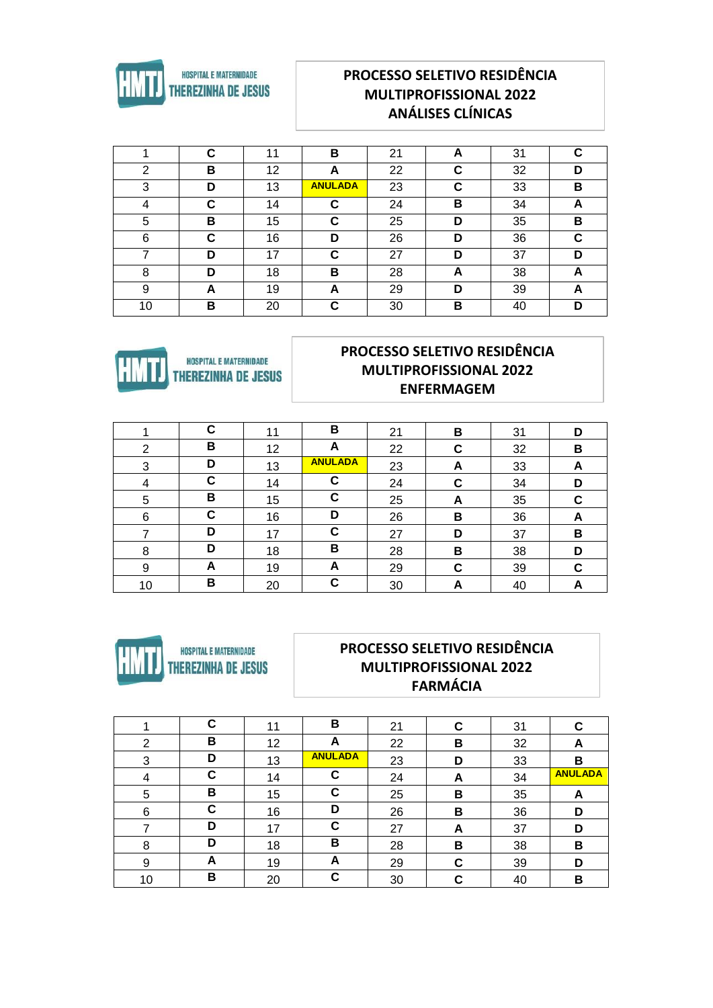

## **PROCESSO SELETIVO RESIDÊNCIA MULTIPROFISSIONAL 2022 ANÁLISES CLÍNICAS**

|                | ⌒<br>u | 11 | в              | 21 | A      | 31 | С |
|----------------|--------|----|----------------|----|--------|----|---|
| $\overline{2}$ | в      | 12 | A              | 22 | ◠<br>u | 32 | D |
| 3              | D      | 13 | <b>ANULADA</b> | 23 | C      | 33 | в |
| 4              | u      | 14 | С              | 24 | в      | 34 | A |
| 5              | в      | 15 | С              | 25 | D      | 35 | в |
| 6              | C      | 16 | D              | 26 | D      | 36 | C |
|                | D      | 17 | С              | 27 | D      | 37 | D |
| 8              | D      | 18 | в              | 28 | A      | 38 | A |
| 9              | A      | 19 | A              | 29 | D      | 39 | A |
| 10             | B      | 20 | C              | 30 | в      | 40 | D |



## PROCESSO SELETIVO RESIDÊNCIA **MULTIPROFISSIONAL 2022 ENFERMAGEM**

|    | C | 11 | в              | 21 | В | 31 | D |
|----|---|----|----------------|----|---|----|---|
| 2  | в | 12 | A              | 22 | С | 32 | В |
| 3  | D | 13 | <b>ANULADA</b> | 23 | A | 33 | A |
| 4  | C | 14 | C              | 24 | С | 34 | D |
| 5  | в | 15 | C              | 25 | A | 35 | С |
| 6  | C | 16 | D              | 26 | В | 36 | A |
|    | D | 17 | С              | 27 | D | 37 | В |
| 8  | D | 18 | В              | 28 | В | 38 | D |
| 9  | А | 19 | A              | 29 | С | 39 | C |
| 10 | в | 20 | C              | 30 | A | 40 | A |



#### PROCESSO SELETIVO RESIDÊNCIA **MULTIPROFISSIONAL 2022 FARMÁCIA**

|    | C | 11 | в              | 21 | С | 31 | С              |
|----|---|----|----------------|----|---|----|----------------|
| 2  | В | 12 | A              | 22 | В | 32 | A              |
| 3  | D | 13 | <b>ANULADA</b> | 23 | D | 33 | В              |
| 4  | C | 14 | C              | 24 | A | 34 | <b>ANULADA</b> |
| 5  | В | 15 | C              | 25 | В | 35 | A              |
| 6  | C | 16 | D              | 26 | В | 36 | D              |
|    | D | 17 | C              | 27 | A | 37 | D              |
| 8  | D | 18 | в              | 28 | в | 38 | В              |
| 9  | A | 19 | A              | 29 | С | 39 | D              |
| 10 | B | 20 | C              | 30 | С | 40 | В              |